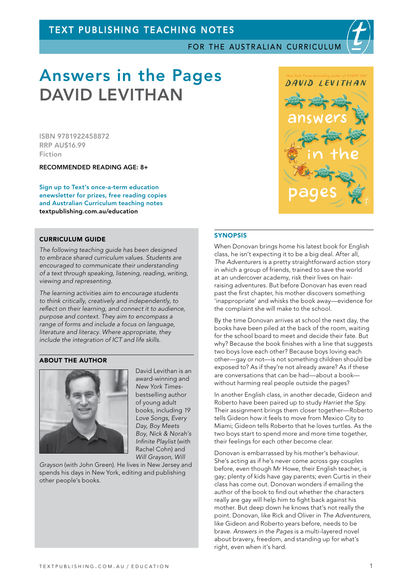# TEXT PUBLISHING TEACHING NOTES

FOR THE AUSTRALIAN CURRICULUM

# Answers in the Pages DAVID LEVITHAN

ISBN 9781922458872 RRP AU\$16.99 Fiction

RECOMMENDED READING AGE: 8+

Sign up to Text's once-a-term education enewsletter for prizes, free reading copies and Australian Curriculum teaching notes [textpublishing.com.au/education](https://www.textpublishing.com.au/education)

### CURRICULUM GUIDE

*The following teaching guide has been designed to embrace shared curriculum values. Students are encouraged to communicate their understanding of a text through speaking, listening, reading, writing, viewing and representing.*

*The learning activities aim to encourage students to think critically, creatively and independently, to reflect on their learning, and connect it to audience, purpose and context. They aim to encompass a range of forms and include a focus on language, literature and literacy. Where appropriate, they include the integration of ICT and life skills.*

#### ABOUT THE AUTHOR



David Levithan is an award-winning and *New York Times*bestselling author of young adult books, including *19 Love Songs, Every Day, Boy Meets Boy, Nick & Norah's Infinite Playlist* (with Rachel Cohn) and *Will Grayson, Will* 

*Grayson* (with John Green). He lives in New Jersey and spends his days in New York, editing and publishing other people's books.



#### **SYNOPSIS**

When Donovan brings home his latest book for English class, he isn't expecting it to be a big deal. After all, *The Adventurers* is a pretty straightforward action story in which a group of friends, trained to save the world at an undercover academy, risk their lives on hairraising adventures. But before Donovan has even read past the first chapter, his mother discovers something 'inappropriate' and whisks the book away—evidence for the complaint she will make to the school.

By the time Donovan arrives at school the next day, the books have been piled at the back of the room, waiting for the school board to meet and decide their fate. But why? Because the book finishes with a line that suggests two boys love each other? Because boys loving each other—gay or not—is not something children should be exposed to? As if they're not already aware? As if these are conversations that can be had—about a book without harming real people outside the pages?

In another English class, in another decade, Gideon and Roberto have been paired up to study *Harriet the Spy*. Their assignment brings them closer together—Roberto tells Gideon how it feels to move from Mexico City to Miami; Gideon tells Roberto that he loves turtles. As the two boys start to spend more and more time together, their feelings for each other become clear.

Donovan is embarrassed by his mother's behaviour. She's acting as if he's never come across gay couples before, even though Mr Howe, their English teacher, is gay; plenty of kids have gay parents; even Curtis in their class has come out. Donovan wonders if emailing the author of the book to find out whether the characters really are gay will help him to fight back against his mother. But deep down he knows that's not really the point. Donovan, like Rick and Oliver in *The Adventurers*, like Gideon and Roberto years before, needs to be brave. *Answers in the Pages* is a multi-layered novel about bravery, freedom, and standing up for what's right, even when it's hard.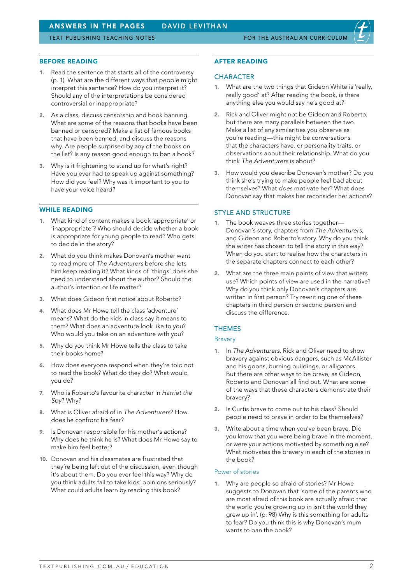#### BEFORE READING

- 1. Read the sentence that starts all of the controversy (p. 1). What are the different ways that people might interpret this sentence? How do you interpret it? Should any of the interpretations be considered controversial or inappropriate?
- 2. As a class, discuss censorship and book banning. What are some of the reasons that books have been banned or censored? Make a list of famous books that have been banned, and discuss the reasons why. Are people surprised by any of the books on the list? Is any reason good enough to ban a book?
- 3. Why is it frightening to stand up for what's right? Have you ever had to speak up against something? How did you feel? Why was it important to you to have your voice heard?

## WHILE READING

- 1. What kind of content makes a book 'appropriate' or 'inappropriate'? Who should decide whether a book is appropriate for young people to read? Who gets to decide in the story?
- 2. What do you think makes Donovan's mother want to read more of *The Adventurers* before she lets him keep reading it? What kinds of 'things' does she need to understand about the author? Should the author's intention or life matter?
- 3. What does Gideon first notice about Roberto?
- 4. What does Mr Howe tell the class 'adventure' means? What do the kids in class say it means to them? What does an adventure look like to you? Who would you take on an adventure with you?
- 5. Why do you think Mr Howe tells the class to take their books home?
- 6. How does everyone respond when they're told not to read the book? What do they do? What would you do?
- 7. Who is Roberto's favourite character in *Harriet the Spy*? Why?
- 8. What is Oliver afraid of in *The Adventurers*? How does he confront his fear?
- 9. Is Donovan responsible for his mother's actions? Why does he think he is? What does Mr Howe say to make him feel hetter?
- 10. Donovan and his classmates are frustrated that they're being left out of the discussion, even though it's about them. Do you ever feel this way? Why do you think adults fail to take kids' opinions seriously? What could adults learn by reading this book?

#### AFTER READING

#### **CHARACTER**

- 1. What are the two things that Gideon White is 'really, really good' at? After reading the book, is there anything else you would say he's good at?
- 2. Rick and Oliver might not be Gideon and Roberto, but there are many parallels between the two. Make a list of any similarities you observe as you're reading—this might be conversations that the characters have, or personality traits, or observations about their relationship. What do you think *The Adventurers* is about?
- How would you describe Donovan's mother? Do you think she's trying to make people feel bad about themselves? What *does* motivate her? What does Donovan say that makes her reconsider her actions?

#### STYLE AND STRUCTURE

- 1. The book weaves three stories together— Donovan's story, chapters from *The Adventurers*, and Gideon and Roberto's story. Why do you think the writer has chosen to tell the story in this way? When do you start to realise how the characters in the separate chapters connect to each other?
- 2. What are the three main points of view that writers use? Which points of view are used in the narrative? Why do you think only Donovan's chapters are written in first person? Try rewriting one of these chapters in third person or second person and discuss the difference.

# THEMES

#### Bravery

- 1. In *The Adventurers*, Rick and Oliver need to show bravery against obvious dangers, such as McAllister and his goons, burning buildings, or alligators. But there are other ways to be brave, as Gideon, Roberto and Donovan all find out. What are some of the ways that these characters demonstrate their bravery?
- 2. Is Curtis brave to come out to his class? Should people need to brave in order to be themselves?
- 3. Write about a time when you've been brave. Did you know that you were being brave in the moment, or were your actions motivated by something else? What motivates the bravery in each of the stories in the book?

#### Power of stories

1. Why are people so afraid of stories? Mr Howe suggests to Donovan that 'some of the parents who are most afraid of this book are actually afraid that the world you're growing up in isn't the world they grew up in'. (p. 98) Why is this something for adults to fear? Do you think this is why Donovan's mum wants to ban the book?